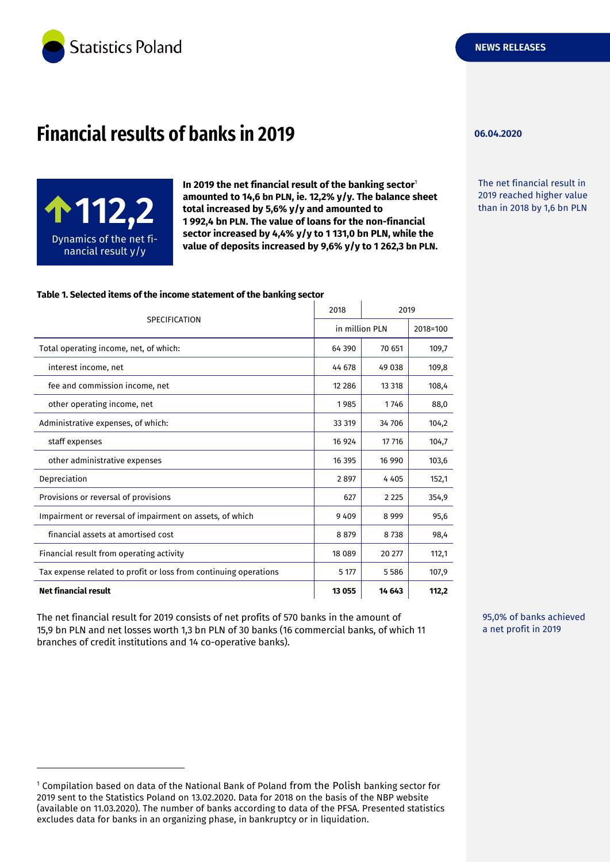

# **Financial results of banks in 2019**



-

**In 2019 the net financial result of the banking sector**<sup>1</sup> **amounted to 14,6 bn PLN, ie. 12,2% y/y. The balance sheet total increased by 5,6% y/y and amounted to 1 992,4 bn PLN. The value of loans for the non-financial sector increased by 4,4% y/y to 1 131,0 bn PLN, while the value of deposits increased by 9,6% y/y to 1 262,3 bn PLN.**  amounted to 14,6 bn PLN, ie. 12,2 % y/y. The valance sheet<br>total increased by 5,6% y/y and amounted to<br>1992.4 bn PLN. The value of loans for the non-financial<br>than in 2018 by 1,6 bn PLN

#### **Table 1. Selected items of the income statement of the banking sector**

| <b>SPECIFICATION</b>                                             | 2018           | 2019    |          |
|------------------------------------------------------------------|----------------|---------|----------|
|                                                                  | in million PLN |         | 2018=100 |
| Total operating income, net, of which:                           | 64 390         | 70 651  | 109,7    |
| interest income, net                                             | 44 678         | 49 038  | 109,8    |
| fee and commission income, net                                   | 12 2 8 6       | 13 318  | 108,4    |
| other operating income, net                                      | 1985           | 1746    | 88,0     |
| Administrative expenses, of which:                               | 33 319         | 34 706  | 104,2    |
| staff expenses                                                   | 16 9 24        | 17 716  | 104,7    |
| other administrative expenses                                    | 16 395         | 16 990  | 103,6    |
| Depreciation                                                     | 2897           | 4 4 0 5 | 152,1    |
| Provisions or reversal of provisions                             | 627            | 2 2 2 5 | 354,9    |
| Impairment or reversal of impairment on assets, of which         | 9409           | 8 9 9 9 | 95,6     |
| financial assets at amortised cost                               | 8879           | 8738    | 98,4     |
| Financial result from operating activity                         | 18 0 89        | 20 277  | 112,1    |
| Tax expense related to profit or loss from continuing operations | 5 177          | 5586    | 107,9    |
| <b>Net financial result</b>                                      | 13 0 55        | 14 643  | 112,2    |

The net financial result for 2019 consists of net profits of 570 banks in the amount of 15,9 bn PLN and net losses worth 1,3 bn PLN of 30 banks (16 commercial banks, of which 11 branches of credit institutions and 14 co-operative banks).

**06.04.2020**

The net financial result in 2019 reached higher value

95,0% of banks achieved a net profit in 2019

<sup>&</sup>lt;sup>1</sup> Compilation based on data of the National Bank of Poland from the Polish banking sector for 2019 sent to the Statistics Poland on 13.02.2020. Data for 2018 on the basis of the NBP website (available on 11.03.2020). The number of banks according to data of the PFSA. Presented statistics excludes data for banks in an organizing phase, in bankruptcy or in liquidation.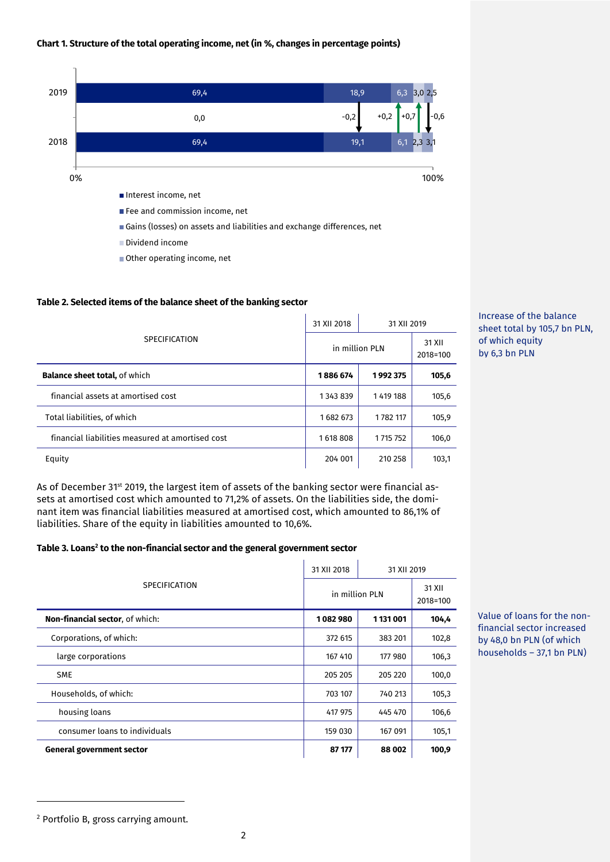#### **Chart 1. Structure of the total operating income, net (in %, changes in percentage points)**



Other operating income, net

#### **Table 2. Selected items of the balance sheet of the banking sector**

| <b>SPECIFICATION</b>                             | 31 XII 2018    | 31 XII 2019   |                    |
|--------------------------------------------------|----------------|---------------|--------------------|
|                                                  | in million PLN |               | 31 XII<br>2018=100 |
| <b>Balance sheet total, of which</b>             | 1886 674       | 1992375       | 105,6              |
| financial assets at amortised cost               | 1343839        | 1419 188      | 105,6              |
| Total liabilities, of which                      | 1682673        | 1782 117      | 105,9              |
| financial liabilities measured at amortised cost | 1618808        | 1 7 1 7 7 5 2 | 106,0              |
| Equity                                           | 204 001        | 210 258       | 103,1              |

As of December 31<sup>st</sup> 2019, the largest item of assets of the banking sector were financial assets at amortised cost which amounted to 71,2% of assets. On the liabilities side, the dominant item was financial liabilities measured at amortised cost, which amounted to 86,1% of liabilities. Share of the equity in liabilities amounted to 10,6%.

#### **Table 3. Loans<sup>2</sup> to the non-financial sector and the general government sector**

| <b>SPECIFICATION</b>                   | 31 XII 2018    | 31 XII 2019 |                    |
|----------------------------------------|----------------|-------------|--------------------|
|                                        | in million PLN |             | 31 XII<br>2018=100 |
| <b>Non-financial sector, of which:</b> | 1082980        | 1 131 001   | 104,4              |
| Corporations, of which:                | 372 615        | 383 201     | 102,8              |
| large corporations                     | 167 410        | 177 980     | 106,3              |
| <b>SME</b>                             | 205 205        | 205 220     | 100,0              |
| Households, of which:                  | 703 107        | 740 213     | 105,3              |
| housing loans                          | 417 975        | 445 470     | 106,6              |
| consumer loans to individuals          | 159 030        | 167 091     | 105,1              |
| General government sector              | 87 177         | 88 002      | 100,9              |

Value of loans for the nonfinancial sector increased by 48,0 bn PLN (of which households – 37,1 bn PLN)

Increase of the balance sheet total by 105,7 bn PLN,

of which equity by 6,3 bn PLN

-

<sup>2</sup> Portfolio B, gross carrying amount.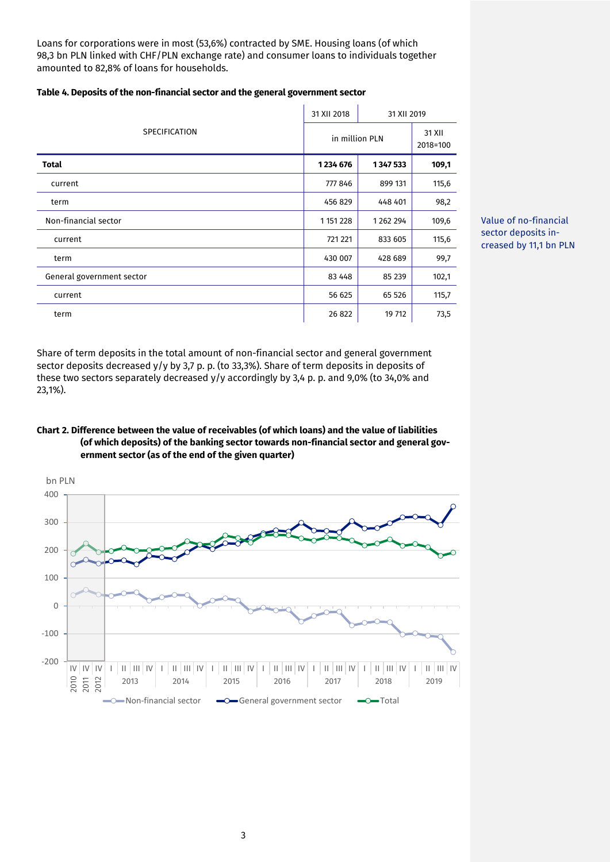Loans for corporations were in most (53,6%) contracted by SME. Housing loans (of which 98,3 bn PLN linked with CHF/PLN exchange rate) and consumer loans to individuals together amounted to 82,8% of loans for households.

|                           | 31 XII 2018   | 31 XII 2019    |                    |
|---------------------------|---------------|----------------|--------------------|
| SPECIFICATION             |               | in million PLN | 31 XII<br>2018=100 |
| <b>Total</b>              | 1234 676      | 1347533        | 109,1              |
| current                   | 777 846       | 899 131        | 115,6              |
| term                      | 456 829       | 448 401        | 98,2               |
| Non-financial sector      | 1 1 5 1 2 2 8 | 1262294        | 109,6              |
| current                   | 721 221       | 833 605        | 115,6              |
| term                      | 430 007       | 428 689        | 99,7               |
| General government sector | 83 4 48       | 85 239         | 102,1              |
| current                   | 56 625        | 65 526         | 115,7              |
| term                      | 26 822        | 19 712         | 73,5               |

**Table 4. Deposits of the non-financial sector and the general government sector**



Share of term deposits in the total amount of non-financial sector and general government sector deposits decreased y/y by 3,7 p. p. (to 33,3%). Share of term deposits in deposits of these two sectors separately decreased y/y accordingly by 3,4 p. p. and 9,0% (to 34,0% and 23,1%).

## **Chart 2. Difference between the value of receivables (of which loans) and the value of liabilities (of which deposits) of the banking sector towards non-financial sector and general government sector (as of the end of the given quarter)**

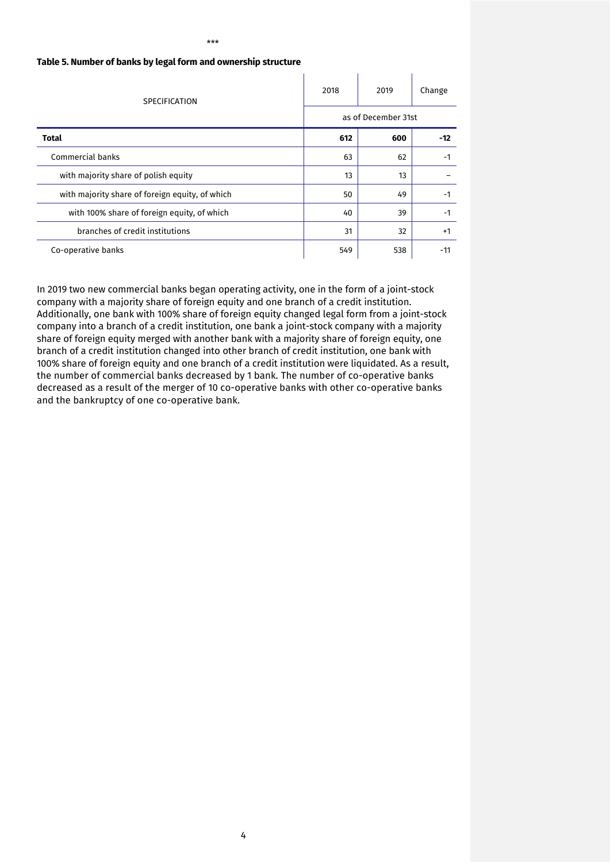| <b>SPECIFICATION</b>                            | 2018                | 2019 | Change |
|-------------------------------------------------|---------------------|------|--------|
|                                                 | as of December 31st |      |        |
| Total                                           | 612                 | 600  | $-12$  |
| Commercial banks                                | 63                  | 62   | -1     |
| with majority share of polish equity            | 13                  | 13   |        |
| with majority share of foreign equity, of which | 50                  | 49   | -1     |
| with 100% share of foreign equity, of which     | 40                  | 39   | $-1$   |
| branches of credit institutions                 | 31                  | 32   | $+1$   |
| Co-operative banks                              | 549                 | 538  | $-11$  |

#### **Table 5. Number of banks by legal form and ownership structure**

In 2019 two new commercial banks began operating activity, one in the form of a joint-stock company with a majority share of foreign equity and one branch of a credit institution. Additionally, one bank with 100% share of foreign equity changed legal form from a joint-stock company into a branch of a credit institution, one bank a joint-stock company with a majority share of foreign equity merged with another bank with a majority share of foreign equity, one branch of a credit institution changed into other branch of credit institution, one bank with 100% share of foreign equity and one branch of a credit institution were liquidated. As a result, the number of commercial banks decreased by 1 bank. The number of co-operative banks decreased as a result of the merger of 10 co-operative banks with other co-operative banks and the bankruptcy of one co-operative bank.